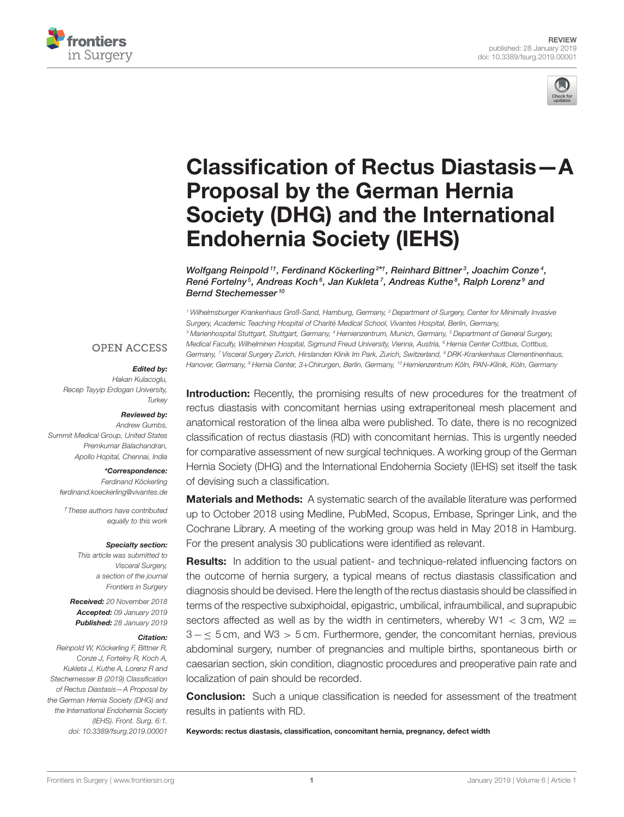



# [Classification of Rectus Diastasis—A](https://www.frontiersin.org/articles/10.3389/fsurg.2019.00001/full) Proposal by the German Hernia Society (DHG) and the International Endohernia Society (IEHS)

Wolfgang Reinpold  $^{\textit{1}\dagger}$ , [Ferdinand Köckerling](http://loop.frontiersin.org/people/124616/overview) $^{2*\dagger}$ , Reinhard Bittner $^{\textit{3}}$ , Joachim Conze $^{\textit{4}}$ , [René Fortelny](http://loop.frontiersin.org/people/129086/overview)<sup>s</sup>, [Andreas Koch](http://loop.frontiersin.org/people/238969/overview)<sup>s</sup>, Jan Kukleta<sup>7</sup>, Andreas Kuthe<sup>s</sup>, [Ralph Lorenz](http://loop.frontiersin.org/people/242504/overview)<sup>s</sup> and [Bernd Stechemesser](http://loop.frontiersin.org/people/234595/overview)<sup>10</sup>

<sup>1</sup> Wilhelmsburger Krankenhaus Groß-Sand, Hamburg, Germany, <sup>2</sup> Department of Surgery, Center for Minimally Invasive Surgery, Academic Teaching Hospital of Charité Medical School, Vivantes Hospital, Berlin, Germany, <sup>3</sup> Marienhospital Stuttgart, Stuttgart, Germany, <sup>4</sup> Hernienzentrum, Munich, Germany, <sup>5</sup> Department of General Surgery, Medical Faculty, Wilhelminen Hospital, Sigmund Freud University, Vienna, Austria, <sup>6</sup> Hernia Center Cottbus, Cottbus, Germany, <sup>7</sup> Visceral Surgery Zurich, Hirslanden Klinik Im Park, Zurich, Switzerland, <sup>8</sup> DRK-Krankenhaus Clementinenhaus, Hanover, Germany, <sup>9</sup> Hernia Center, 3+Chirurgen, Berlin, Germany, <sup>10</sup> Hernienzentrum Köln, PAN–Klinik, Köln, Germany

### **OPEN ACCESS**

#### Edited by:

Hakan Kulacoglu, Recep Tayyip Erdogan University, **Turkev** 

#### Reviewed by:

Andrew Gumbs, Summit Medical Group, United States Premkumar Balachandran, Apollo Hopital, Chennai, India

#### \*Correspondence:

Ferdinand Köckerling [ferdinand.koeckerling@vivantes.de](mailto:ferdinand.koeckerling@vivantes.de)

†These authors have contributed equally to this work

#### Specialty section:

This article was submitted to Visceral Surgery, a section of the journal Frontiers in Surgery

Received: 20 November 2018 Accepted: 09 January 2019 Published: 28 January 2019

#### Citation:

Reinpold W, Köckerling F, Bittner R, Conze J, Fortelny R, Koch A, Kukleta J, Kuthe A, Lorenz R and Stechemesser B (2019) Classification of Rectus Diastasis—A Proposal by the German Hernia Society (DHG) and the International Endohernia Society (IEHS). Front. Surg. 6:1. doi: [10.3389/fsurg.2019.00001](https://doi.org/10.3389/fsurg.2019.00001)

**Introduction:** Recently, the promising results of new procedures for the treatment of rectus diastasis with concomitant hernias using extraperitoneal mesh placement and anatomical restoration of the linea alba were published. To date, there is no recognized classification of rectus diastasis (RD) with concomitant hernias. This is urgently needed for comparative assessment of new surgical techniques. A working group of the German Hernia Society (DHG) and the International Endohernia Society (IEHS) set itself the task of devising such a classification.

Materials and Methods: A systematic search of the available literature was performed up to October 2018 using Medline, PubMed, Scopus, Embase, Springer Link, and the Cochrane Library. A meeting of the working group was held in May 2018 in Hamburg. For the present analysis 30 publications were identified as relevant.

**Results:** In addition to the usual patient- and technique-related influencing factors on the outcome of hernia surgery, a typical means of rectus diastasis classification and diagnosis should be devised. Here the length of the rectus diastasis should be classified in terms of the respective subxiphoidal, epigastric, umbilical, infraumbilical, and suprapubic sectors affected as well as by the width in centimeters, whereby W1  $\lt$  3 cm, W2  $=$ 3 − ≤ 5 cm, and W3 > 5 cm. Furthermore, gender, the concomitant hernias, previous abdominal surgery, number of pregnancies and multiple births, spontaneous birth or caesarian section, skin condition, diagnostic procedures and preoperative pain rate and localization of pain should be recorded.

**Conclusion:** Such a unique classification is needed for assessment of the treatment results in patients with RD.

Keywords: rectus diastasis, classification, concomitant hernia, pregnancy, defect width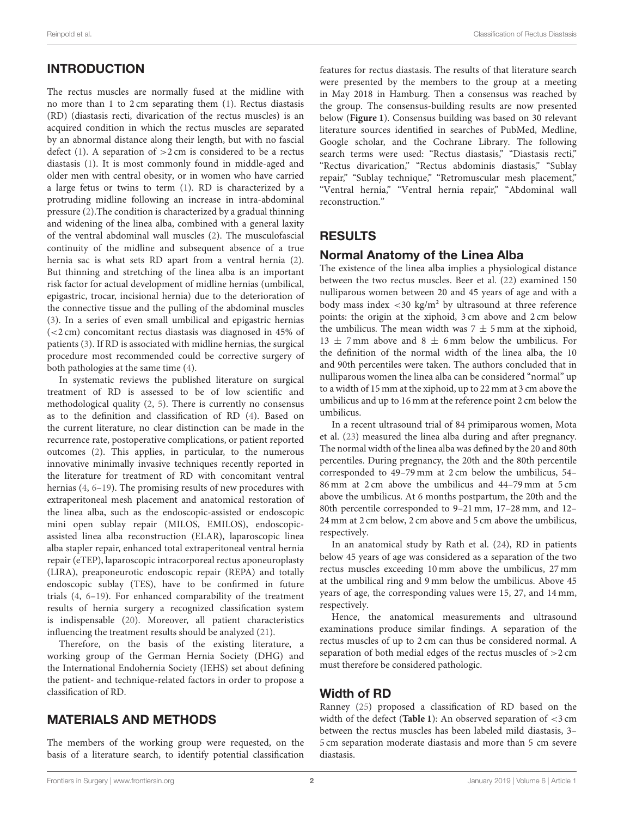# INTRODUCTION

The rectus muscles are normally fused at the midline with no more than 1 to 2 cm separating them [\(1\)](#page-5-0). Rectus diastasis (RD) (diastasis recti, divarication of the rectus muscles) is an acquired condition in which the rectus muscles are separated by an abnormal distance along their length, but with no fascial defect [\(1\)](#page-5-0). A separation of  $>2$  cm is considered to be a rectus diastasis [\(1\)](#page-5-0). It is most commonly found in middle-aged and older men with central obesity, or in women who have carried a large fetus or twins to term [\(1\)](#page-5-0). RD is characterized by a protruding midline following an increase in intra-abdominal pressure [\(2\)](#page-5-1).The condition is characterized by a gradual thinning and widening of the linea alba, combined with a general laxity of the ventral abdominal wall muscles [\(2\)](#page-5-1). The musculofascial continuity of the midline and subsequent absence of a true hernia sac is what sets RD apart from a ventral hernia [\(2\)](#page-5-1). But thinning and stretching of the linea alba is an important risk factor for actual development of midline hernias (umbilical, epigastric, trocar, incisional hernia) due to the deterioration of the connective tissue and the pulling of the abdominal muscles [\(3\)](#page-5-2). In a series of even small umbilical and epigastric hernias (<2 cm) concomitant rectus diastasis was diagnosed in 45% of patients [\(3\)](#page-5-2). If RD is associated with midline hernias, the surgical procedure most recommended could be corrective surgery of both pathologies at the same time [\(4\)](#page-5-3).

In systematic reviews the published literature on surgical treatment of RD is assessed to be of low scientific and methodological quality [\(2,](#page-5-1) [5\)](#page-5-4). There is currently no consensus as to the definition and classification of RD [\(4\)](#page-5-3). Based on the current literature, no clear distinction can be made in the recurrence rate, postoperative complications, or patient reported outcomes [\(2\)](#page-5-1). This applies, in particular, to the numerous innovative minimally invasive techniques recently reported in the literature for treatment of RD with concomitant ventral hernias [\(4,](#page-5-3) [6](#page-5-5)[–19\)](#page-5-6). The promising results of new procedures with extraperitoneal mesh placement and anatomical restoration of the linea alba, such as the endoscopic-assisted or endoscopic mini open sublay repair (MILOS, EMILOS), endoscopicassisted linea alba reconstruction (ELAR), laparoscopic linea alba stapler repair, enhanced total extraperitoneal ventral hernia repair (eTEP), laparoscopic intracorporeal rectus aponeuroplasty (LIRA), preaponeurotic endoscopic repair (REPA) and totally endoscopic sublay (TES), have to be confirmed in future trials [\(4,](#page-5-3) [6](#page-5-5)[–19\)](#page-5-6). For enhanced comparability of the treatment results of hernia surgery a recognized classification system is indispensable [\(20\)](#page-5-7). Moreover, all patient characteristics influencing the treatment results should be analyzed [\(21\)](#page-5-8).

Therefore, on the basis of the existing literature, a working group of the German Hernia Society (DHG) and the International Endohernia Society (IEHS) set about defining the patient- and technique-related factors in order to propose a classification of RD.

# MATERIALS AND METHODS

The members of the working group were requested, on the basis of a literature search, to identify potential classification features for rectus diastasis. The results of that literature search were presented by the members to the group at a meeting in May 2018 in Hamburg. Then a consensus was reached by the group. The consensus-building results are now presented below (**[Figure 1](#page-2-0)**). Consensus building was based on 30 relevant literature sources identified in searches of PubMed, Medline, Google scholar, and the Cochrane Library. The following search terms were used: "Rectus diastasis," "Diastasis recti," "Rectus divarication," "Rectus abdominis diastasis," "Sublay repair," "Sublay technique," "Retromuscular mesh placement," "Ventral hernia," "Ventral hernia repair," "Abdominal wall reconstruction."

# RESULTS

### Normal Anatomy of the Linea Alba

The existence of the linea alba implies a physiological distance between the two rectus muscles. Beer et al. [\(22\)](#page-5-9) examined 150 nulliparous women between 20 and 45 years of age and with a body mass index  $\langle 30 \text{ kg/m}^2 \text{ by ultrasound at three reference}$ points: the origin at the xiphoid, 3 cm above and 2 cm below the umbilicus. The mean width was  $7 \pm 5$  mm at the xiphoid,  $13 \pm 7$  mm above and  $8 \pm 6$  mm below the umbilicus. For the definition of the normal width of the linea alba, the 10 and 90th percentiles were taken. The authors concluded that in nulliparous women the linea alba can be considered "normal" up to a width of 15 mm at the xiphoid, up to 22 mm at 3 cm above the umbilicus and up to 16 mm at the reference point 2 cm below the umbilicus.

In a recent ultrasound trial of 84 primiparous women, Mota et al. [\(23\)](#page-5-10) measured the linea alba during and after pregnancy. The normal width of the linea alba was defined by the 20 and 80th percentiles. During pregnancy, the 20th and the 80th percentile corresponded to 49–79 mm at 2 cm below the umbilicus, 54– 86 mm at 2 cm above the umbilicus and 44–79 mm at 5 cm above the umbilicus. At 6 months postpartum, the 20th and the 80th percentile corresponded to 9–21 mm, 17–28 mm, and 12– 24 mm at 2 cm below, 2 cm above and 5 cm above the umbilicus, respectively.

In an anatomical study by Rath et al. [\(24\)](#page-5-11), RD in patients below 45 years of age was considered as a separation of the two rectus muscles exceeding 10 mm above the umbilicus, 27 mm at the umbilical ring and 9 mm below the umbilicus. Above 45 years of age, the corresponding values were 15, 27, and 14 mm, respectively.

Hence, the anatomical measurements and ultrasound examinations produce similar findings. A separation of the rectus muscles of up to 2 cm can thus be considered normal. A separation of both medial edges of the rectus muscles of >2 cm must therefore be considered pathologic.

# Width of RD

Ranney [\(25\)](#page-5-12) proposed a classification of RD based on the width of the defect (**[Table 1](#page-2-1)**): An observed separation of <3 cm between the rectus muscles has been labeled mild diastasis, 3– 5 cm separation moderate diastasis and more than 5 cm severe diastasis.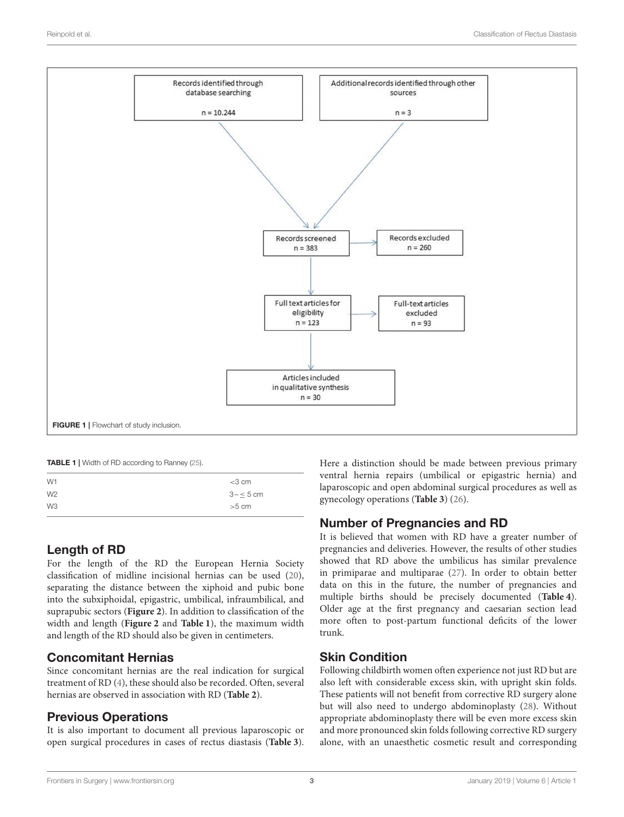

<span id="page-2-1"></span><span id="page-2-0"></span>TABLE 1 | Width of RD according to Ranney [\(25\)](#page-5-12).

| W1             | $<$ 3 cm   |
|----------------|------------|
| W <sub>2</sub> | $3 - 5$ cm |
| W <sub>3</sub> | $>5$ cm    |
|                |            |

# Length of RD

For the length of the RD the European Hernia Society classification of midline incisional hernias can be used [\(20\)](#page-5-7), separating the distance between the xiphoid and pubic bone into the subxiphoidal, epigastric, umbilical, infraumbilical, and suprapubic sectors (**[Figure 2](#page-3-0)**). In addition to classification of the width and length (**[Figure 2](#page-3-0)** and **[Table 1](#page-2-1)**), the maximum width and length of the RD should also be given in centimeters.

# Concomitant Hernias

Since concomitant hernias are the real indication for surgical treatment of RD [\(4\)](#page-5-3), these should also be recorded. Often, several hernias are observed in association with RD (**[Table 2](#page-3-1)**).

### Previous Operations

It is also important to document all previous laparoscopic or open surgical procedures in cases of rectus diastasis (**[Table 3](#page-3-2)**). Here a distinction should be made between previous primary ventral hernia repairs (umbilical or epigastric hernia) and laparoscopic and open abdominal surgical procedures as well as gynecology operations (**[Table 3](#page-3-2)**) [\(26\)](#page-5-13).

### Number of Pregnancies and RD

It is believed that women with RD have a greater number of pregnancies and deliveries. However, the results of other studies showed that RD above the umbilicus has similar prevalence in primiparae and multiparae [\(27\)](#page-5-14). In order to obtain better data on this in the future, the number of pregnancies and multiple births should be precisely documented (**[Table 4](#page-3-3)**). Older age at the first pregnancy and caesarian section lead more often to post-partum functional deficits of the lower trunk.

# Skin Condition

Following childbirth women often experience not just RD but are also left with considerable excess skin, with upright skin folds. These patients will not benefit from corrective RD surgery alone but will also need to undergo abdominoplasty [\(28\)](#page-5-15). Without appropriate abdominoplasty there will be even more excess skin and more pronounced skin folds following corrective RD surgery alone, with an unaesthetic cosmetic result and corresponding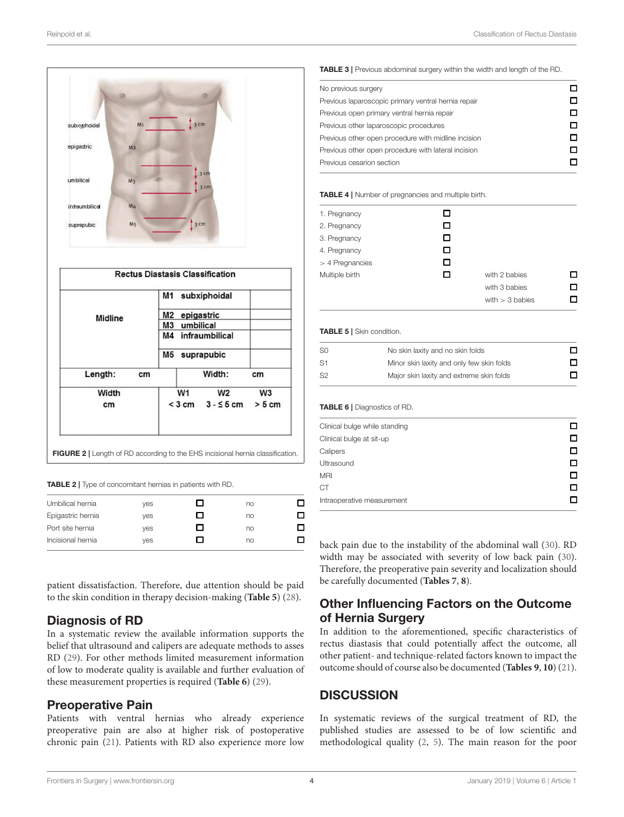| subxyphoidal   | M <sub>1</sub> |                      | $\frac{1}{3}$ cm                                           |                |
|----------------|----------------|----------------------|------------------------------------------------------------|----------------|
| epigastric     | M <sub>2</sub> |                      |                                                            |                |
| umbilical      | M <sub>3</sub> |                      | 3 <sub>cm</sub><br>3 <sub>cm</sub>                         |                |
| infraumbilical | M4             |                      |                                                            |                |
|                |                |                      |                                                            |                |
| suprapubic     | M <sub>5</sub> |                      | $\frac{1}{3}$ cm<br><b>Rectus Diastasis Classification</b> |                |
|                |                | M1                   | subxiphoidal                                               |                |
|                |                |                      |                                                            |                |
| Midline        |                | M2<br>M <sub>3</sub> | epigastric<br>umbilical                                    |                |
|                |                | M4                   | infraumbilical                                             |                |
|                |                | M <sub>5</sub>       | suprapubic                                                 |                |
| Length:        | cm             |                      | Width:                                                     | cm             |
| Width          |                | W <sub>1</sub>       | W <sub>2</sub>                                             | W <sub>3</sub> |

#### <span id="page-3-1"></span><span id="page-3-0"></span>TABLE 2 | Type of concomitant hernias in patients with RD.

| Umbilical hernia  | ves |   | no |  |
|-------------------|-----|---|----|--|
| Epigastric hernia | ves | ш | no |  |
| Port site hernia  | ves | ш | no |  |
| Incisional hernia | ves |   | no |  |
|                   |     |   |    |  |

patient dissatisfaction. Therefore, due attention should be paid to the skin condition in therapy decision-making (**[Table 5](#page-3-4)**) [\(28\)](#page-5-15).

### Diagnosis of RD

In a systematic review the available information supports the belief that ultrasound and calipers are adequate methods to asses RD [\(29\)](#page-5-16). For other methods limited measurement information of low to moderate quality is available and further evaluation of these measurement properties is required (**[Table 6](#page-3-5)**) [\(29\)](#page-5-16).

### Preoperative Pain

Patients with ventral hernias who already experience preoperative pain are also at higher risk of postoperative chronic pain [\(21\)](#page-5-8). Patients with RD also experience more low <span id="page-3-2"></span>TABLE 3 | Previous abdominal surgery within the width and length of the RD.

| No previous surgery                                 |   |
|-----------------------------------------------------|---|
|                                                     |   |
| Previous laparoscopic primary ventral hernia repair |   |
| Previous open primary ventral hernia repair         |   |
| Previous other laparoscopic procedures              |   |
| Previous other open procedure with midline incision | n |
| Previous other open procedure with lateral incision |   |
| Previous cesarion section                           |   |

### <span id="page-3-3"></span>TABLE 4 | Number of pregnancies and multiple birth.

| 1. Pregnancy    | П |                   |   |
|-----------------|---|-------------------|---|
| 2. Pregnancy    | П |                   |   |
| 3. Pregnancy    | □ |                   |   |
| 4. Pregnancy    | П |                   |   |
| > 4 Pregnancies | □ |                   |   |
| Multiple birth  | п | with 2 babies     | П |
|                 |   | with 3 babies     | П |
|                 |   | with $>$ 3 babies |   |
|                 |   |                   |   |

### <span id="page-3-4"></span>TABLE 5 | Skin condition.

| -SO            | No skin laxity and no skin folds          |  |
|----------------|-------------------------------------------|--|
| S <sub>1</sub> | Minor skin laxity and only few skin folds |  |
| S2             | Major skin laxity and extreme skin folds  |  |

### <span id="page-3-5"></span>TABLE 6 | Diagnostics of RD.

| Clinical bulge while standing |  |
|-------------------------------|--|
| Clinical bulge at sit-up      |  |
| Calipers                      |  |
| Ultrasound                    |  |
| <b>MRI</b>                    |  |
| <b>CT</b>                     |  |
| Intraoperative measurement    |  |

back pain due to the instability of the abdominal wall [\(30\)](#page-5-17). RD width may be associated with severity of low back pain [\(30\)](#page-5-17). Therefore, the preoperative pain severity and localization should be carefully documented (**[Tables 7](#page-4-0)**, **[8](#page-4-1)**).

### Other Influencing Factors on the Outcome of Hernia Surgery

In addition to the aforementioned, specific characteristics of rectus diastasis that could potentially affect the outcome, all other patient- and technique-related factors known to impact the outcome should of course also be documented (**[Tables 9](#page-4-2)**, **[10](#page-4-3)**) [\(21\)](#page-5-8).

### **DISCUSSION**

In systematic reviews of the surgical treatment of RD, the published studies are assessed to be of low scientific and methodological quality [\(2,](#page-5-1) [5\)](#page-5-4). The main reason for the poor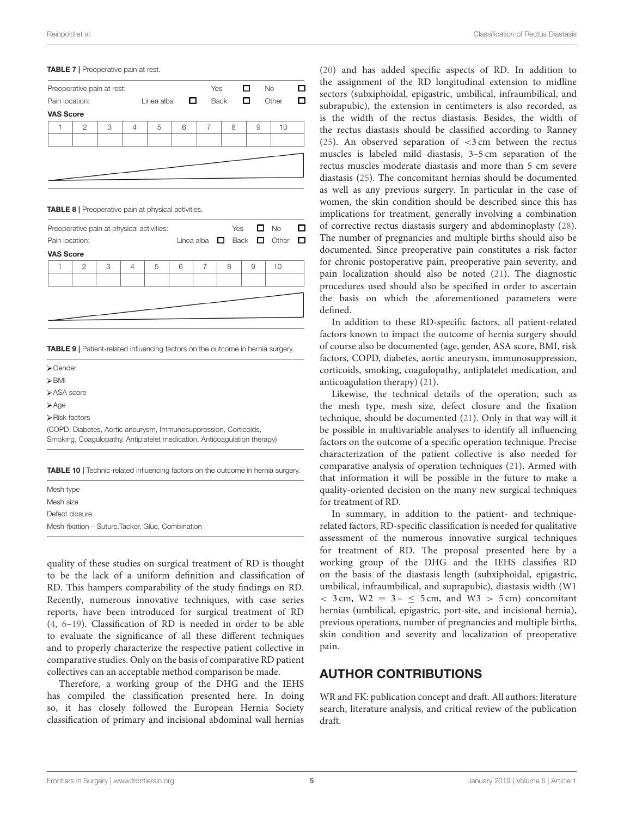### <span id="page-4-0"></span>TABLE 7 | Preoperative pain at rest.

|                  | Preoperative pain at rest: |   |                 |   |             | Yes |   | $\Box$ | <b>No</b> | □ |
|------------------|----------------------------|---|-----------------|---|-------------|-----|---|--------|-----------|---|
| Pain location:   |                            |   | □<br>Linea alba |   | <b>Back</b> |     | □ | Other  | □         |   |
| <b>VAS Score</b> |                            |   |                 |   |             |     |   |        |           |   |
|                  | 2                          | 3 | $\overline{4}$  | 5 | 6           | 7   | 8 | 9      | 10        |   |
|                  |                            |   |                 |   |             |     |   |        |           |   |
|                  |                            |   |                 |   |             |     |   |        |           |   |
|                  |                            |   |                 |   |             |     |   |        |           |   |
|                  |                            |   |                 |   |             |     |   |        |           |   |

<span id="page-4-1"></span>TABLE 8 | Preoperative pain at physical activities.

| Preoperative pain at physical activities:<br>Pain location: |                |   |                |   |   |   |   | Yes $\Box$ No<br>Linea alba $\Box$ Back $\Box$ Other |    | □<br>$\Box$ |
|-------------------------------------------------------------|----------------|---|----------------|---|---|---|---|------------------------------------------------------|----|-------------|
| <b>VAS Score</b>                                            |                |   |                |   |   |   |   |                                                      |    |             |
|                                                             | $\overline{2}$ | 3 | $\overline{4}$ | 5 | 6 | 7 | 8 | 9                                                    | 10 |             |
|                                                             |                |   |                |   |   |   |   |                                                      |    |             |
|                                                             |                |   |                |   |   |   |   |                                                      |    |             |
|                                                             |                |   |                |   |   |   |   |                                                      |    |             |
|                                                             |                |   |                |   |   |   |   |                                                      |    |             |

<span id="page-4-2"></span>**TABLE 9 | Patient-related influencing factors on the outcome in hernia surgery.** 

| $\triangleright$ Gender |
|-------------------------|
| $\triangleright$ BMI    |
| > ASA score             |
|                         |

 $\triangleright$  Age

 $\triangleright$  Risk factors

(COPD, Diabetes, Aortic aneurysm, Immunosuppression, Corticoids, Smoking, Coagulopathy, Antiplatelet medication, Anticoagulation therapy)

<span id="page-4-3"></span>TABLE 10 | Technic-related influencing factors on the outcome in hernia surgery.

| Mesh type                                         |  |
|---------------------------------------------------|--|
| Mesh size                                         |  |
| Defect closure                                    |  |
| Mesh-fixation - Suture, Tacker, Glue, Combination |  |

quality of these studies on surgical treatment of RD is thought to be the lack of a uniform definition and classification of RD. This hampers comparability of the study findings on RD. Recently, numerous innovative techniques, with case series reports, have been introduced for surgical treatment of RD [\(4,](#page-5-3) [6](#page-5-5)[–19\)](#page-5-6). Classification of RD is needed in order to be able to evaluate the significance of all these different techniques and to properly characterize the respective patient collective in comparative studies. Only on the basis of comparative RD patient collectives can an acceptable method comparison be made.

Therefore, a working group of the DHG and the IEHS has compiled the classification presented here. In doing so, it has closely followed the European Hernia Society classification of primary and incisional abdominal wall hernias

[\(20\)](#page-5-7) and has added specific aspects of RD. In addition to the assignment of the RD longitudinal extension to midline sectors (subxiphoidal, epigastric, umbilical, infraumbilical, and subrapubic), the extension in centimeters is also recorded, as is the width of the rectus diastasis. Besides, the width of the rectus diastasis should be classified according to Ranney [\(25\)](#page-5-12). An observed separation of <3 cm between the rectus muscles is labeled mild diastasis, 3–5 cm separation of the rectus muscles moderate diastasis and more than 5 cm severe diastasis [\(25\)](#page-5-12). The concomitant hernias should be documented as well as any previous surgery. In particular in the case of women, the skin condition should be described since this has implications for treatment, generally involving a combination of corrective rectus diastasis surgery and abdominoplasty [\(28\)](#page-5-15). The number of pregnancies and multiple births should also be documented. Since preoperative pain constitutes a risk factor for chronic postoperative pain, preoperative pain severity, and pain localization should also be noted [\(21\)](#page-5-8). The diagnostic procedures used should also be specified in order to ascertain the basis on which the aforementioned parameters were defined.

In addition to these RD-specific factors, all patient-related factors known to impact the outcome of hernia surgery should of course also be documented (age, gender, ASA score, BMI, risk factors, COPD, diabetes, aortic aneurysm, immunosuppression, corticoids, smoking, coagulopathy, antiplatelet medication, and anticoagulation therapy) [\(21\)](#page-5-8).

Likewise, the technical details of the operation, such as the mesh type, mesh size, defect closure and the fixation technique, should be documented [\(21\)](#page-5-8). Only in that way will it be possible in multivariable analyses to identify all influencing factors on the outcome of a specific operation technique. Precise characterization of the patient collective is also needed for comparative analysis of operation techniques [\(21\)](#page-5-8). Armed with that information it will be possible in the future to make a quality-oriented decision on the many new surgical techniques for treatment of RD.

In summary, in addition to the patient- and techniquerelated factors, RD-specific classification is needed for qualitative assessment of the numerous innovative surgical techniques for treatment of RD. The proposal presented here by a working group of the DHG and the IEHS classifies RD on the basis of the diastasis length (subxiphoidal, epigastric, umbilical, infraumbilical, and suprapubic), diastasis width (W1  $<$  3 cm, W2 = 3 –  $\leq$  5 cm, and W3  $>$  5 cm) concomitant hernias (umbilical, epigastric, port-site, and incisional hernia), previous operations, number of pregnancies and multiple births, skin condition and severity and localization of preoperative pain.

### AUTHOR CONTRIBUTIONS

WR and FK: publication concept and draft. All authors: literature search, literature analysis, and critical review of the publication draft.